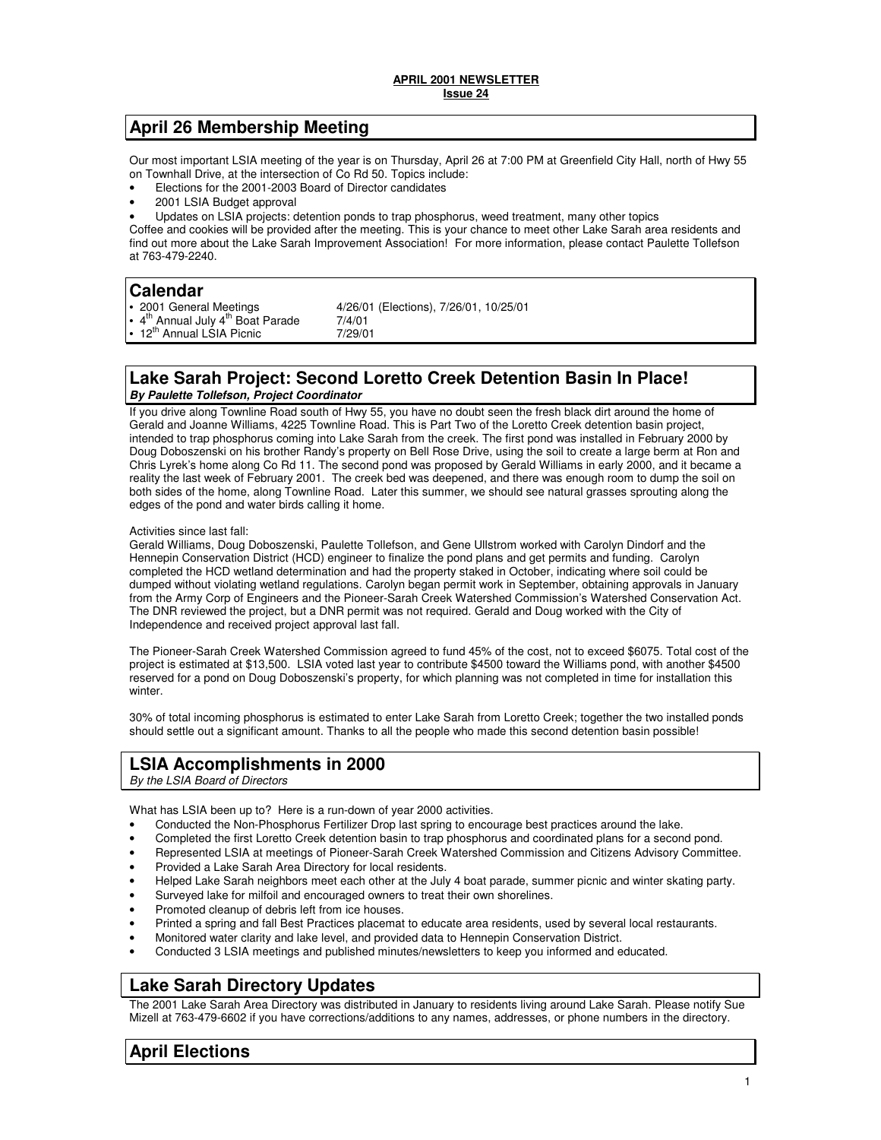## **April 26 Membership Meeting**

Our most important LSIA meeting of the year is on Thursday, April 26 at 7:00 PM at Greenfield City Hall, north of Hwy 55 on Townhall Drive, at the intersection of Co Rd 50. Topics include:

- Elections for the 2001-2003 Board of Director candidates
- 2001 LSIA Budget approval
- Updates on LSIA projects: detention ponds to trap phosphorus, weed treatment, many other topics

Coffee and cookies will be provided after the meeting. This is your chance to meet other Lake Sarah area residents and find out more about the Lake Sarah Improvement Association! For more information, please contact Paulette Tollefson at 763-479-2240.

## **Calendar**

| • 2001 General Meetings                                             | 4/26/01 (Elections), 7/26/01, 10/25/01 |
|---------------------------------------------------------------------|----------------------------------------|
| . 4 <sup>th</sup> Annual July 4 <sup>th</sup> Boat Parade<br>7/4/01 |                                        |
| • 12 <sup>th</sup> Annual LSIA Picnic<br>7/29/01                    |                                        |

## **Lake Sarah Project: Second Loretto Creek Detention Basin In Place! By Paulette Tollefson, Project Coordinator**

If you drive along Townline Road south of Hwy 55, you have no doubt seen the fresh black dirt around the home of Gerald and Joanne Williams, 4225 Townline Road. This is Part Two of the Loretto Creek detention basin project, intended to trap phosphorus coming into Lake Sarah from the creek. The first pond was installed in February 2000 by Doug Doboszenski on his brother Randy's property on Bell Rose Drive, using the soil to create a large berm at Ron and Chris Lyrek's home along Co Rd 11. The second pond was proposed by Gerald Williams in early 2000, and it became a reality the last week of February 2001. The creek bed was deepened, and there was enough room to dump the soil on both sides of the home, along Townline Road. Later this summer, we should see natural grasses sprouting along the edges of the pond and water birds calling it home.

### Activities since last fall:

Gerald Williams, Doug Doboszenski, Paulette Tollefson, and Gene Ullstrom worked with Carolyn Dindorf and the Hennepin Conservation District (HCD) engineer to finalize the pond plans and get permits and funding. Carolyn completed the HCD wetland determination and had the property staked in October, indicating where soil could be dumped without violating wetland regulations. Carolyn began permit work in September, obtaining approvals in January from the Army Corp of Engineers and the Pioneer-Sarah Creek Watershed Commission's Watershed Conservation Act. The DNR reviewed the project, but a DNR permit was not required. Gerald and Doug worked with the City of Independence and received project approval last fall.

The Pioneer-Sarah Creek Watershed Commission agreed to fund 45% of the cost, not to exceed \$6075. Total cost of the project is estimated at \$13,500. LSIA voted last year to contribute \$4500 toward the Williams pond, with another \$4500 reserved for a pond on Doug Doboszenski's property, for which planning was not completed in time for installation this winter.

30% of total incoming phosphorus is estimated to enter Lake Sarah from Loretto Creek; together the two installed ponds should settle out a significant amount. Thanks to all the people who made this second detention basin possible!

# **LSIA Accomplishments in 2000**

By the LSIA Board of Directors

What has LSIA been up to? Here is a run-down of year 2000 activities.

- Conducted the Non-Phosphorus Fertilizer Drop last spring to encourage best practices around the lake.
- Completed the first Loretto Creek detention basin to trap phosphorus and coordinated plans for a second pond.
- Represented LSIA at meetings of Pioneer-Sarah Creek Watershed Commission and Citizens Advisory Committee.
- Provided a Lake Sarah Area Directory for local residents.
- Helped Lake Sarah neighbors meet each other at the July 4 boat parade, summer picnic and winter skating party.
- Surveyed lake for milfoil and encouraged owners to treat their own shorelines.
- Promoted cleanup of debris left from ice houses.
- Printed a spring and fall Best Practices placemat to educate area residents, used by several local restaurants.
- Monitored water clarity and lake level, and provided data to Hennepin Conservation District.
- Conducted 3 LSIA meetings and published minutes/newsletters to keep you informed and educated.

# **Lake Sarah Directory Updates**

The 2001 Lake Sarah Area Directory was distributed in January to residents living around Lake Sarah. Please notify Sue Mizell at 763-479-6602 if you have corrections/additions to any names, addresses, or phone numbers in the directory.

# **April Elections**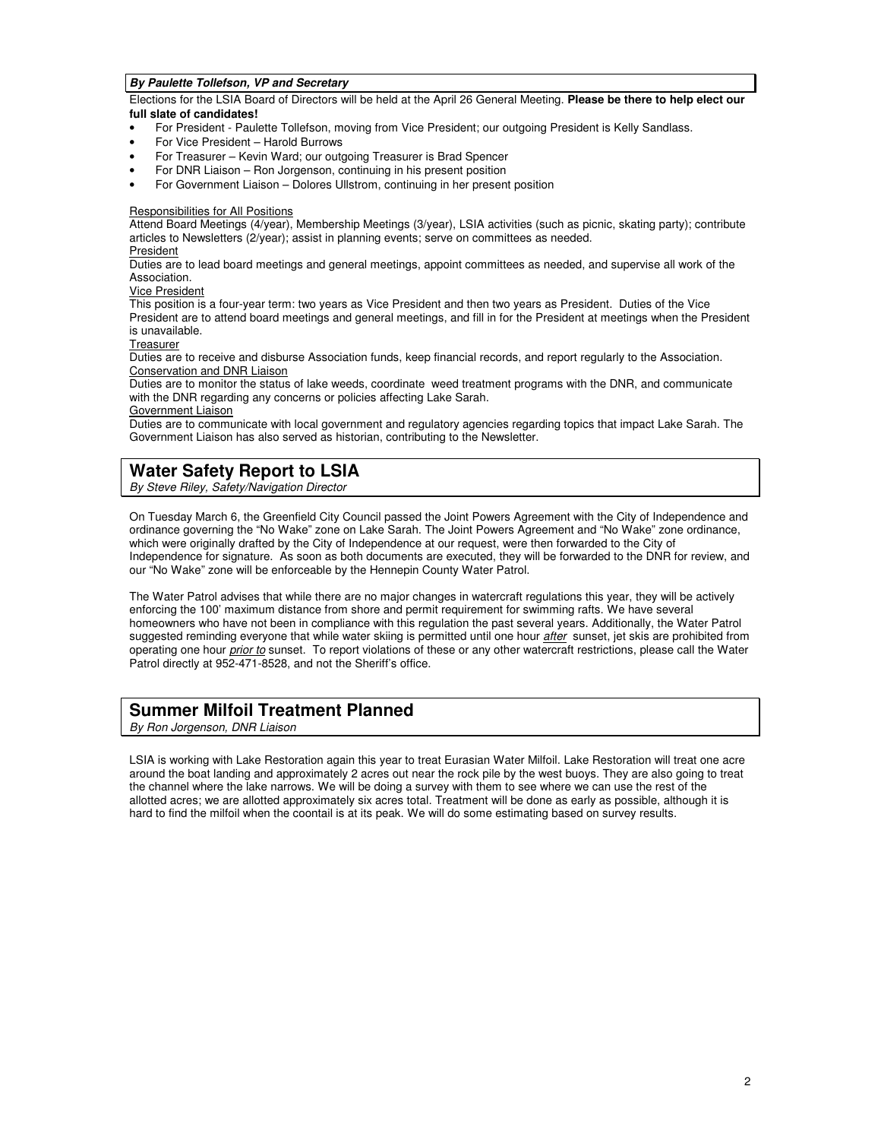### **By Paulette Tollefson, VP and Secretary**

Elections for the LSIA Board of Directors will be held at the April 26 General Meeting. **Please be there to help elect our full slate of candidates!** 

- For President Paulette Tollefson, moving from Vice President; our outgoing President is Kelly Sandlass.
- For Vice President Harold Burrows
- For Treasurer Kevin Ward; our outgoing Treasurer is Brad Spencer
- For DNR Liaison Ron Jorgenson, continuing in his present position
- For Government Liaison Dolores Ullstrom, continuing in her present position

#### Responsibilities for All Positions

Attend Board Meetings (4/year), Membership Meetings (3/year), LSIA activities (such as picnic, skating party); contribute articles to Newsletters (2/year); assist in planning events; serve on committees as needed.

### President

Duties are to lead board meetings and general meetings, appoint committees as needed, and supervise all work of the Association.

### Vice President

This position is a four-year term: two years as Vice President and then two years as President. Duties of the Vice President are to attend board meetings and general meetings, and fill in for the President at meetings when the President is unavailable.

**Treasurer** 

Duties are to receive and disburse Association funds, keep financial records, and report regularly to the Association. Conservation and DNR Liaison

Duties are to monitor the status of lake weeds, coordinate weed treatment programs with the DNR, and communicate with the DNR regarding any concerns or policies affecting Lake Sarah.

### Government Liaison

Duties are to communicate with local government and regulatory agencies regarding topics that impact Lake Sarah. The Government Liaison has also served as historian, contributing to the Newsletter.

## **Water Safety Report to LSIA**

By Steve Riley, Safety/Navigation Director

On Tuesday March 6, the Greenfield City Council passed the Joint Powers Agreement with the City of Independence and ordinance governing the "No Wake" zone on Lake Sarah. The Joint Powers Agreement and "No Wake" zone ordinance, which were originally drafted by the City of Independence at our request, were then forwarded to the City of Independence for signature. As soon as both documents are executed, they will be forwarded to the DNR for review, and our "No Wake" zone will be enforceable by the Hennepin County Water Patrol.

The Water Patrol advises that while there are no major changes in watercraft regulations this year, they will be actively enforcing the 100' maximum distance from shore and permit requirement for swimming rafts. We have several homeowners who have not been in compliance with this regulation the past several years. Additionally, the Water Patrol suggested reminding everyone that while water skiing is permitted until one hour after sunset, jet skis are prohibited from operating one hour prior to sunset. To report violations of these or any other watercraft restrictions, please call the Water Patrol directly at 952-471-8528, and not the Sheriff's office.

## **Summer Milfoil Treatment Planned**

By Ron Jorgenson, DNR Liaison

LSIA is working with Lake Restoration again this year to treat Eurasian Water Milfoil. Lake Restoration will treat one acre around the boat landing and approximately 2 acres out near the rock pile by the west buoys. They are also going to treat the channel where the lake narrows. We will be doing a survey with them to see where we can use the rest of the allotted acres; we are allotted approximately six acres total. Treatment will be done as early as possible, although it is hard to find the milfoil when the coontail is at its peak. We will do some estimating based on survey results.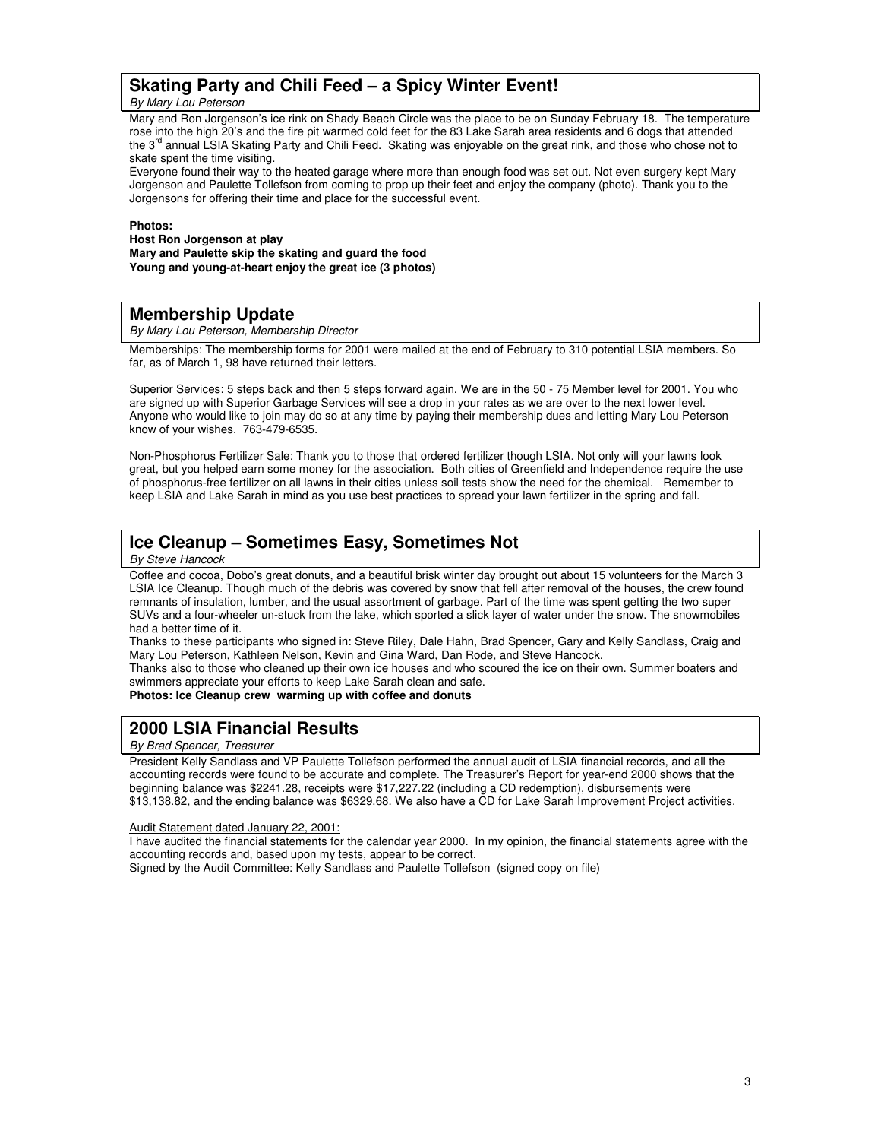## **Skating Party and Chili Feed – a Spicy Winter Event!**

By Mary Lou Peterson

Mary and Ron Jorgenson's ice rink on Shady Beach Circle was the place to be on Sunday February 18. The temperature rose into the high 20's and the fire pit warmed cold feet for the 83 Lake Sarah area residents and 6 dogs that attended the 3<sup>rd</sup> annual LSIA Skating Party and Chili Feed. Skating was enjoyable on the great rink, and those who chose not to skate spent the time visiting.

Everyone found their way to the heated garage where more than enough food was set out. Not even surgery kept Mary Jorgenson and Paulette Tollefson from coming to prop up their feet and enjoy the company (photo). Thank you to the Jorgensons for offering their time and place for the successful event.

#### **Photos:**

**Host Ron Jorgenson at play Mary and Paulette skip the skating and guard the food Young and young-at-heart enjoy the great ice (3 photos)** 

## **Membership Update**

By Mary Lou Peterson, Membership Director

Memberships: The membership forms for 2001 were mailed at the end of February to 310 potential LSIA members. So far, as of March 1, 98 have returned their letters.

Superior Services: 5 steps back and then 5 steps forward again. We are in the 50 - 75 Member level for 2001. You who are signed up with Superior Garbage Services will see a drop in your rates as we are over to the next lower level. Anyone who would like to join may do so at any time by paying their membership dues and letting Mary Lou Peterson know of your wishes. 763-479-6535.

Non-Phosphorus Fertilizer Sale: Thank you to those that ordered fertilizer though LSIA. Not only will your lawns look great, but you helped earn some money for the association. Both cities of Greenfield and Independence require the use of phosphorus-free fertilizer on all lawns in their cities unless soil tests show the need for the chemical. Remember to keep LSIA and Lake Sarah in mind as you use best practices to spread your lawn fertilizer in the spring and fall.

# **Ice Cleanup – Sometimes Easy, Sometimes Not**

### By Steve Hancock

Coffee and cocoa, Dobo's great donuts, and a beautiful brisk winter day brought out about 15 volunteers for the March 3 LSIA Ice Cleanup. Though much of the debris was covered by snow that fell after removal of the houses, the crew found remnants of insulation, lumber, and the usual assortment of garbage. Part of the time was spent getting the two super SUVs and a four-wheeler un-stuck from the lake, which sported a slick layer of water under the snow. The snowmobiles had a better time of it.

Thanks to these participants who signed in: Steve Riley, Dale Hahn, Brad Spencer, Gary and Kelly Sandlass, Craig and Mary Lou Peterson, Kathleen Nelson, Kevin and Gina Ward, Dan Rode, and Steve Hancock.

Thanks also to those who cleaned up their own ice houses and who scoured the ice on their own. Summer boaters and swimmers appreciate your efforts to keep Lake Sarah clean and safe.

**Photos: Ice Cleanup crew warming up with coffee and donuts** 

# **2000 LSIA Financial Results**

### By Brad Spencer, Treasurer

President Kelly Sandlass and VP Paulette Tollefson performed the annual audit of LSIA financial records, and all the accounting records were found to be accurate and complete. The Treasurer's Report for year-end 2000 shows that the beginning balance was \$2241.28, receipts were \$17,227.22 (including a CD redemption), disbursements were \$13,138.82, and the ending balance was \$6329.68. We also have a CD for Lake Sarah Improvement Project activities.

Audit Statement dated January 22, 2001:

I have audited the financial statements for the calendar year 2000. In my opinion, the financial statements agree with the accounting records and, based upon my tests, appear to be correct.

Signed by the Audit Committee: Kelly Sandlass and Paulette Tollefson (signed copy on file)